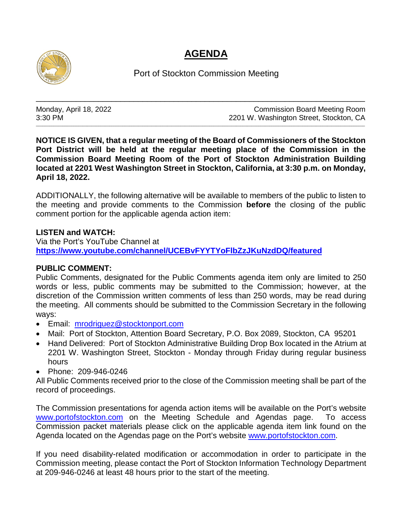## **AGENDA**



Port of Stockton Commission Meeting

\_\_\_\_\_\_\_\_\_\_\_\_\_\_\_\_\_\_\_\_\_\_\_\_\_\_\_\_\_\_\_\_\_\_\_\_\_\_\_\_\_\_\_\_\_\_\_\_\_\_\_\_\_\_\_\_\_\_\_\_\_\_\_\_\_\_\_\_\_\_\_\_\_\_

\_\_\_\_\_\_\_\_\_\_\_\_\_\_\_\_\_\_\_\_\_\_\_\_\_\_\_\_\_\_\_\_\_\_\_\_\_\_\_\_\_\_\_\_\_\_\_\_\_\_\_\_\_\_\_\_\_\_\_\_\_\_\_\_\_\_\_\_\_\_\_\_\_\_\_\_\_\_\_\_\_\_\_\_\_\_\_\_\_\_\_\_\_\_\_\_\_\_\_\_\_\_\_\_\_\_\_\_\_\_\_\_\_\_\_\_\_\_\_\_\_\_\_\_\_\_\_\_\_\_\_\_\_\_\_\_\_\_\_\_\_\_\_\_\_\_\_\_

Monday, April 18, 2022 Monday, April 18, 2022<br>3:30 PM<br>2201 W. Washington Street. Stockton. CA 2201 W. Washington Street, Stockton, CA

**NOTICE IS GIVEN, that a regular meeting of the Board of Commissioners of the Stockton Port District will be held at the regular meeting place of the Commission in the Commission Board Meeting Room of the Port of Stockton Administration Building located at 2201 West Washington Street in Stockton, California, at 3:30 p.m. on Monday, April 18, 2022.**

ADDITIONALLY, the following alternative will be available to members of the public to listen to the meeting and provide comments to the Commission **before** the closing of the public comment portion for the applicable agenda action item:

## **LISTEN and WATCH:**

Via the Port's YouTube Channel at **<https://www.youtube.com/channel/UCEBvFYYTYoFlbZzJKuNzdDQ/featured>**

## **PUBLIC COMMENT:**

Public Comments, designated for the Public Comments agenda item only are limited to 250 words or less, public comments may be submitted to the Commission; however, at the discretion of the Commission written comments of less than 250 words, may be read during the meeting. All comments should be submitted to the Commission Secretary in the following ways:

- Email: [mrodriguez@stocktonport.com](mailto:mrodriguez@stocktonport.com)
- Mail: Port of Stockton, Attention Board Secretary, P.O. Box 2089, Stockton, CA 95201
- Hand Delivered: Port of Stockton Administrative Building Drop Box located in the Atrium at 2201 W. Washington Street, Stockton - Monday through Friday during regular business hours
- Phone: 209-946-0246

All Public Comments received prior to the close of the Commission meeting shall be part of the record of proceedings.

The Commission presentations for agenda action items will be available on the Port's website [www.portofstockton.com](http://www.portofstockton.com/) on the Meeting Schedule and Agendas page. To access Commission packet materials please click on the applicable agenda item link found on the Agenda located on the Agendas page on the Port's website [www.portofstockton.com.](http://www.portofstockton.com/)

If you need disability-related modification or accommodation in order to participate in the Commission meeting, please contact the Port of Stockton Information Technology Department at 209-946-0246 at least 48 hours prior to the start of the meeting.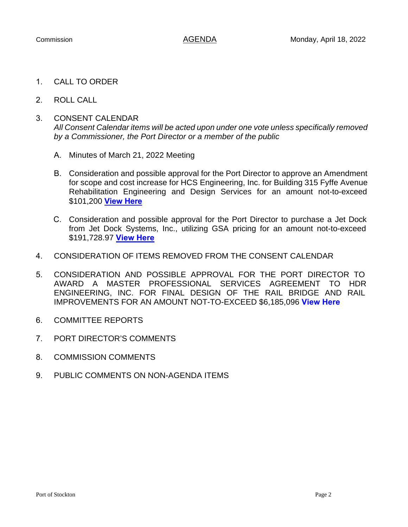- 1. CALL TO ORDER
- 2. ROLL CALL
- 3. CONSENT CALENDAR *All Consent Calendar items will be acted upon under one vote unless specifically removed by a Commissioner, the Port Director or a member of the public*
	- A. Minutes of March 21, 2022 Meeting
	- B. Consideration and possible approval for the Port Director to approve an Amendment for scope and cost increase for HCS Engineering, Inc. for Building 315 Fyffe Avenue Rehabilitation Engineering and Design Services for an amount not-to-exceed \$101,200 **[View Here](https://www.portofstockton.com/wp-content/uploads/2022/04/ConsentCalendarB.pdf)**
	- C. Consideration and possible approval for the Port Director to purchase a Jet Dock from Jet Dock Systems, Inc., utilizing GSA pricing for an amount not-to-exceed \$191,728.97 **[View Here](https://www.portofstockton.com/wp-content/uploads/2022/04/ConsentCalendarC.pdf)**
- 4. CONSIDERATION OF ITEMS REMOVED FROM THE CONSENT CALENDAR
- 5. CONSIDERATION AND POSSIBLE APPROVAL FOR THE PORT DIRECTOR TO AWARD A MASTER PROFESSIONAL SERVICES AGREEMENT TO HDR ENGINEERING, INC. FOR FINAL DESIGN OF THE RAIL BRIDGE AND RAIL IMPROVEMENTS FOR AN AMOUNT NOT-TO-EXCEED \$6,185,096 **[View Here](https://www.portofstockton.com/wp-content/uploads/2022/04/AgendaItem5.pdf)**
- 6. COMMITTEE REPORTS
- 7. PORT DIRECTOR'S COMMENTS
- 8. COMMISSION COMMENTS
- 9. PUBLIC COMMENTS ON NON-AGENDA ITEMS